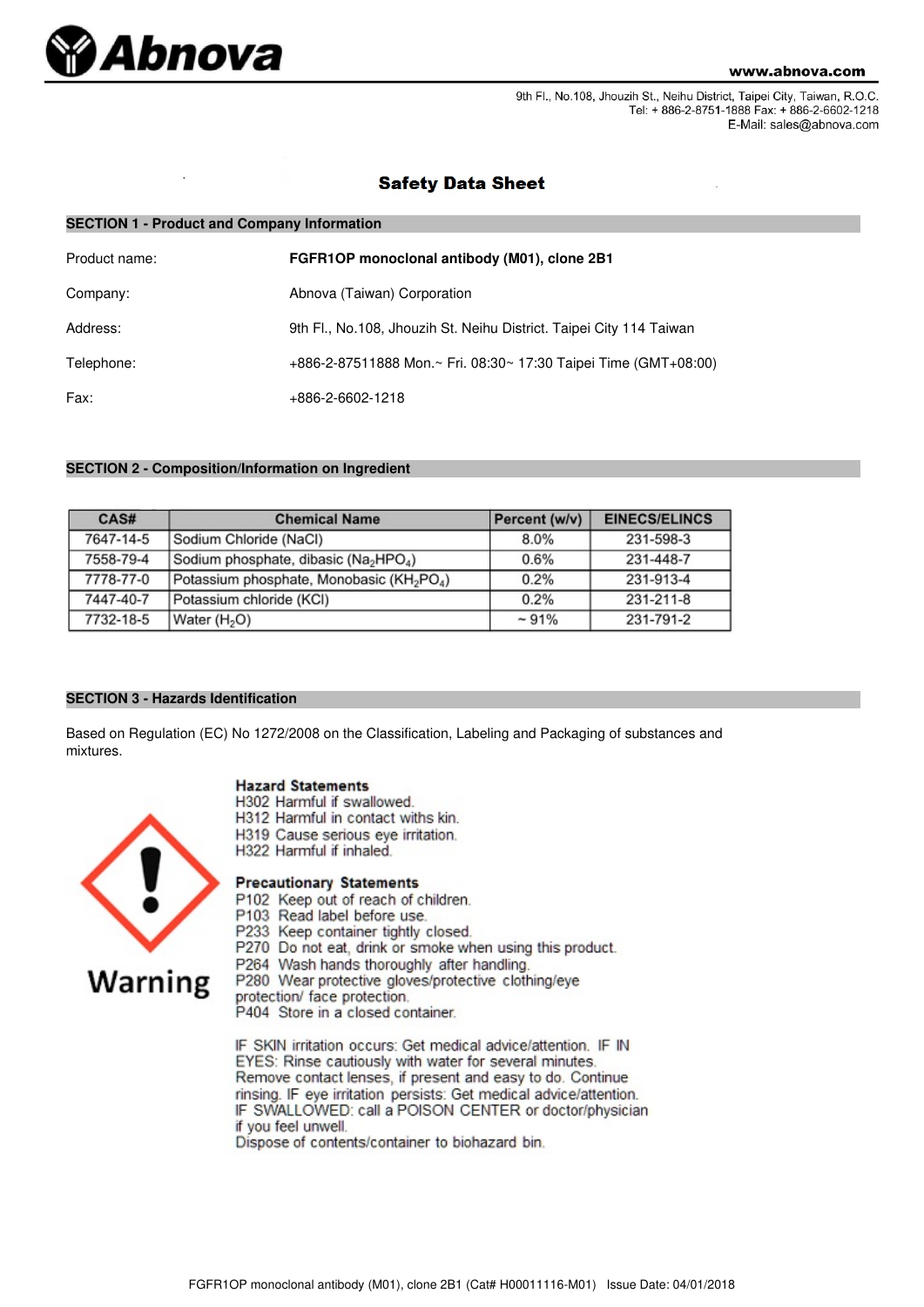

9th Fl., No.108, Jhouzih St., Neihu District, Taipei City, Taiwan, R.O.C. Tel: + 886-2-8751-1888 Fax: + 886-2-6602-1218 E-Mail: sales@abnova.com

# **Safety Data Sheet**

| <b>SECTION 1 - Product and Company Information</b> |                                                                     |  |  |
|----------------------------------------------------|---------------------------------------------------------------------|--|--|
| Product name:                                      | FGFR1OP monoclonal antibody (M01), clone 2B1                        |  |  |
| Company:                                           | Abnova (Taiwan) Corporation                                         |  |  |
| Address:                                           | 9th Fl., No.108, Jhouzih St. Neihu District. Taipei City 114 Taiwan |  |  |
| Telephone:                                         | +886-2-87511888 Mon.~ Fri. 08:30~ 17:30 Taipei Time (GMT+08:00)     |  |  |
| Fax:                                               | +886-2-6602-1218                                                    |  |  |

# **SECTION 2 - Composition/Information on Ingredient**

| CAS#      | <b>Chemical Name</b>                                              | Percent (w/v) | <b>EINECS/ELINCS</b> |
|-----------|-------------------------------------------------------------------|---------------|----------------------|
| 7647-14-5 | Sodium Chloride (NaCl)                                            | 8.0%          | 231-598-3            |
| 7558-79-4 | Sodium phosphate, dibasic (Na <sub>2</sub> HPO <sub>4</sub> )     | 0.6%          | 231-448-7            |
| 7778-77-0 | Potassium phosphate, Monobasic (KH <sub>2</sub> PO <sub>4</sub> ) | 0.2%          | 231-913-4            |
| 7447-40-7 | Potassium chloride (KCI)                                          | 0.2%          | 231-211-8            |
| 7732-18-5 | Water (H <sub>2</sub> O)                                          | $~1\%$        | 231-791-2            |

# **SECTION 3 - Hazards Identification**

Based on Regulation (EC) No 1272/2008 on the Classification, Labeling and Packaging of substances and mixtures.

# **Hazard Statements**

- H302 Harmful if swallowed.
- H312 Harmful in contact withs kin.
- H319 Cause serious eye irritation.
- H322 Harmful if inhaled.

# **Warning**

- **Precautionary Statements**
- P102 Keep out of reach of children.
- P103 Read label before use.
- P233 Keep container tightly closed.
- P270 Do not eat, drink or smoke when using this product.
- P264 Wash hands thoroughly after handling.

P280 Wear protective gloves/protective clothing/eye

protection/ face protection.

P404 Store in a closed container.

IF SKIN irritation occurs: Get medical advice/attention. IF IN EYES: Rinse cautiously with water for several minutes. Remove contact lenses, if present and easy to do. Continue rinsing. IF eye irritation persists: Get medical advice/attention. IF SWALLOWED: call a POISON CENTER or doctor/physician if you feel unwell.

Dispose of contents/container to biohazard bin.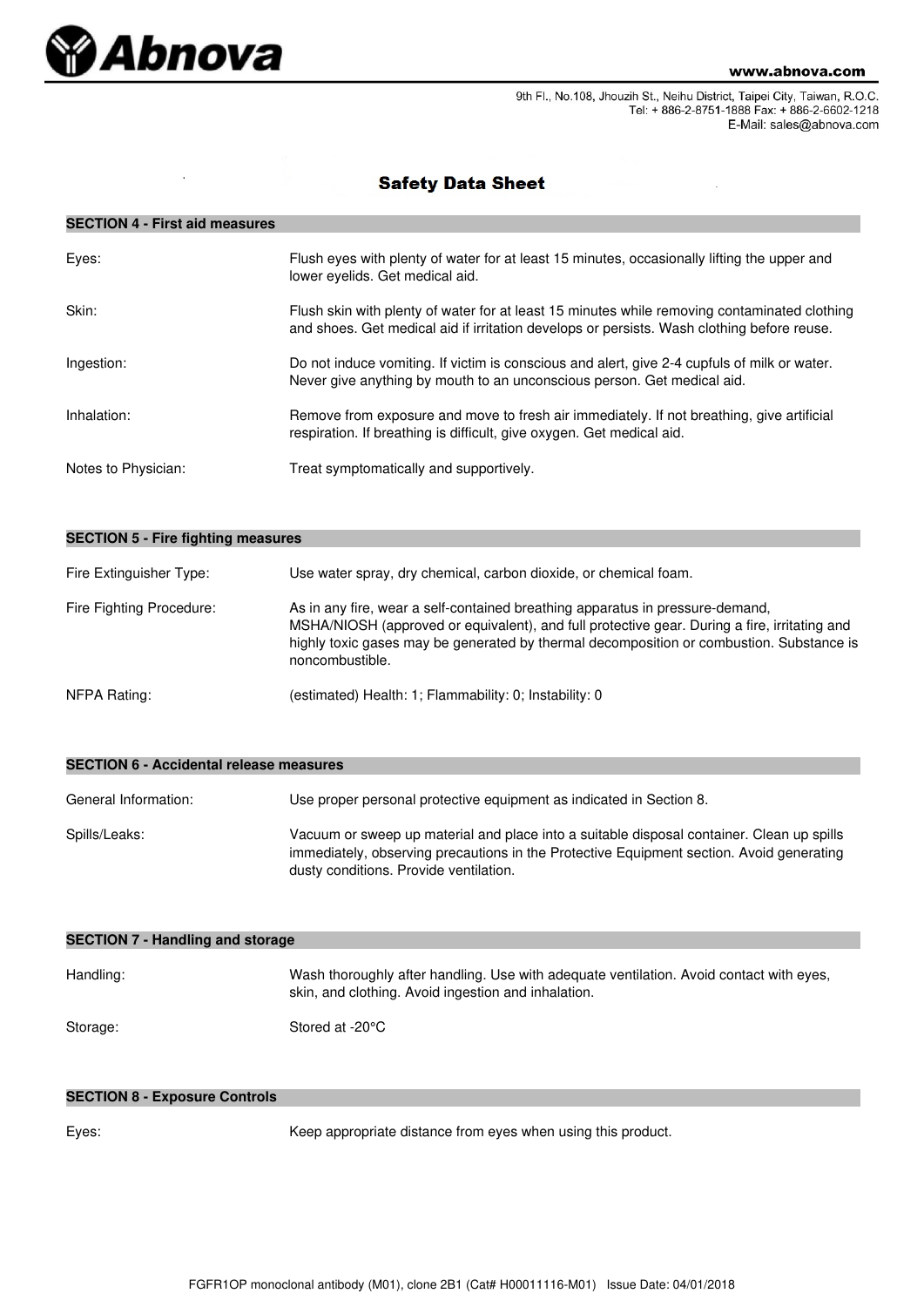

9th Fl., No.108, Jhouzih St., Neihu District, Taipei City, Taiwan, R.O.C. Tel: + 886-2-8751-1888 Fax: + 886-2-6602-1218 E-Mail: sales@abnova.com

# **Safety Data Sheet**

# **SECTION 4 - First aid measures**

| Eyes:               | Flush eyes with plenty of water for at least 15 minutes, occasionally lifting the upper and<br>lower eyelids. Get medical aid.                                                             |
|---------------------|--------------------------------------------------------------------------------------------------------------------------------------------------------------------------------------------|
| Skin:               | Flush skin with plenty of water for at least 15 minutes while removing contaminated clothing<br>and shoes. Get medical aid if irritation develops or persists. Wash clothing before reuse. |
| Ingestion:          | Do not induce vomiting. If victim is conscious and alert, give 2-4 cupfuls of milk or water.<br>Never give anything by mouth to an unconscious person. Get medical aid.                    |
| Inhalation:         | Remove from exposure and move to fresh air immediately. If not breathing, give artificial<br>respiration. If breathing is difficult, give oxygen. Get medical aid.                         |
| Notes to Physician: | Treat symptomatically and supportively.                                                                                                                                                    |

| <b>SECTION 5 - Fire fighting measures</b> |                                                                                                                                                                                                                                                                                              |  |  |
|-------------------------------------------|----------------------------------------------------------------------------------------------------------------------------------------------------------------------------------------------------------------------------------------------------------------------------------------------|--|--|
| Fire Extinguisher Type:                   | Use water spray, dry chemical, carbon dioxide, or chemical foam.                                                                                                                                                                                                                             |  |  |
| Fire Fighting Procedure:                  | As in any fire, wear a self-contained breathing apparatus in pressure-demand,<br>MSHA/NIOSH (approved or equivalent), and full protective gear. During a fire, irritating and<br>highly toxic gases may be generated by thermal decomposition or combustion. Substance is<br>noncombustible. |  |  |
| NFPA Rating:                              | (estimated) Health: 1; Flammability: 0; Instability: 0                                                                                                                                                                                                                                       |  |  |

| SECTION 0 - ACCIDENTAL I EIEASE INEASURS |                                                                                                                                                                                                                                 |  |  |
|------------------------------------------|---------------------------------------------------------------------------------------------------------------------------------------------------------------------------------------------------------------------------------|--|--|
| General Information:                     | Use proper personal protective equipment as indicated in Section 8.                                                                                                                                                             |  |  |
| Spills/Leaks:                            | Vacuum or sweep up material and place into a suitable disposal container. Clean up spills<br>immediately, observing precautions in the Protective Equipment section. Avoid generating<br>dusty conditions. Provide ventilation. |  |  |

| <b>SECTION 7 - Handling and storage</b> |                                                                                                                                                |  |  |
|-----------------------------------------|------------------------------------------------------------------------------------------------------------------------------------------------|--|--|
| Handling:                               | Wash thoroughly after handling. Use with adequate ventilation. Avoid contact with eyes,<br>skin, and clothing. Avoid ingestion and inhalation. |  |  |
| Storage:                                | Stored at -20°C                                                                                                                                |  |  |

# **SECTION 8 - Exposure Controls**

**SECTION 6 - Accidental release measures**

Eyes: Keep appropriate distance from eyes when using this product.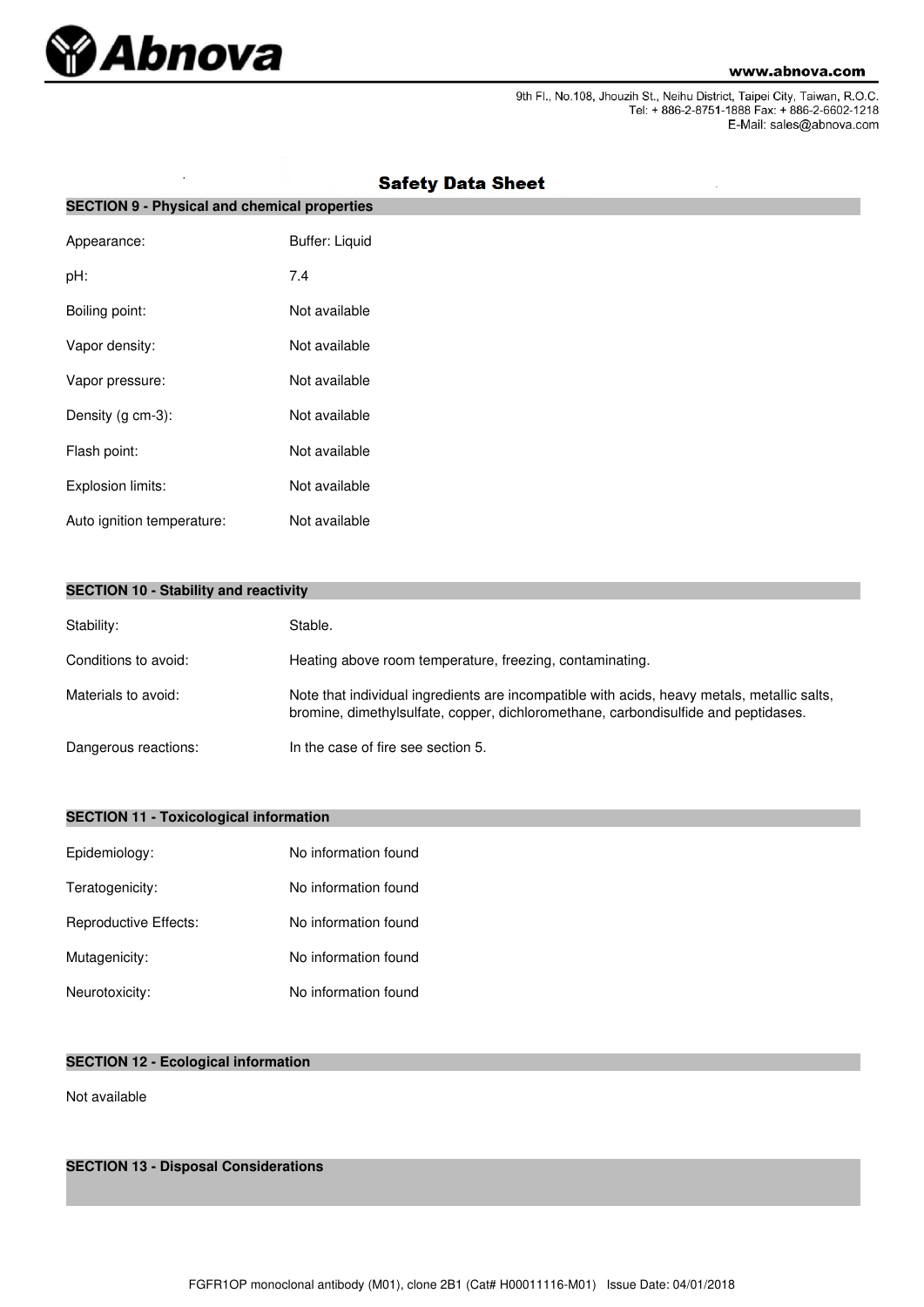

J.

9th Fl., No.108, Jhouzih St., Neihu District, Taipei City, Taiwan, R.O.C.<br>Tel: + 886-2-8751-1888 Fax: + 886-2-6602-1218 E-Mail: sales@abnova.com

| <b>SECTION 9 - Physical and chemical properties</b> |                       |  |  |
|-----------------------------------------------------|-----------------------|--|--|
| Appearance:                                         | <b>Buffer: Liquid</b> |  |  |
| pH:                                                 | 7.4                   |  |  |
| Boiling point:                                      | Not available         |  |  |
| Vapor density:                                      | Not available         |  |  |
| Vapor pressure:                                     | Not available         |  |  |
| Density (g cm-3):                                   | Not available         |  |  |
| Flash point:                                        | Not available         |  |  |
| Explosion limits:                                   | Not available         |  |  |
| Auto ignition temperature:                          | Not available         |  |  |

# **Safety Data Sheet**

|  |  |  |  | <b>SECTION 10 - Stability and reactivity</b> |
|--|--|--|--|----------------------------------------------|
|--|--|--|--|----------------------------------------------|

| Stability:           | Stable.                                                                                                                                                                           |
|----------------------|-----------------------------------------------------------------------------------------------------------------------------------------------------------------------------------|
| Conditions to avoid: | Heating above room temperature, freezing, contaminating.                                                                                                                          |
| Materials to avoid:  | Note that individual ingredients are incompatible with acids, heavy metals, metallic salts,<br>bromine, dimethylsulfate, copper, dichloromethane, carbondisulfide and peptidases. |
| Dangerous reactions: | In the case of fire see section 5.                                                                                                                                                |

# **SECTION 11 - Toxicological information**

| Epidemiology:         | No information found |
|-----------------------|----------------------|
| Teratogenicity:       | No information found |
| Reproductive Effects: | No information found |
| Mutagenicity:         | No information found |
| Neurotoxicity:        | No information found |

# **SECTION 12 - Ecological information**

Not available

**SECTION 13 - Disposal Considerations**